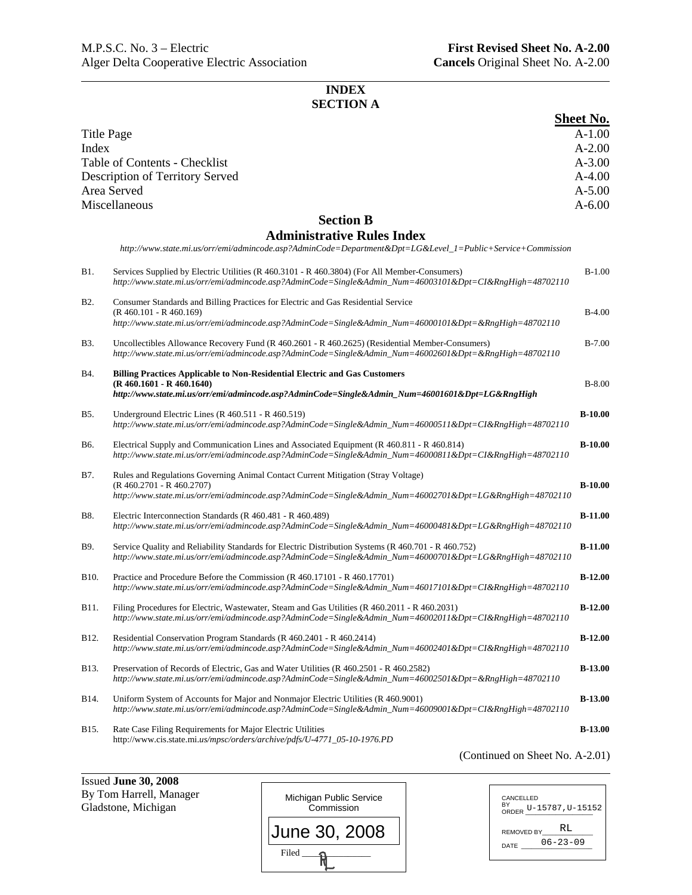# **INDEX SECTION A**

|                   |                                                                                                                                                                                                                 | <b>Sheet No.</b> |
|-------------------|-----------------------------------------------------------------------------------------------------------------------------------------------------------------------------------------------------------------|------------------|
| Title Page        |                                                                                                                                                                                                                 | $A-1.00$         |
| Index             |                                                                                                                                                                                                                 | $A-2.00$         |
|                   | Table of Contents - Checklist                                                                                                                                                                                   | $A - 3.00$       |
|                   | Description of Territory Served                                                                                                                                                                                 | $A-4.00$         |
|                   | Area Served                                                                                                                                                                                                     | $A - 5.00$       |
|                   | Miscellaneous                                                                                                                                                                                                   | $A - 6.00$       |
|                   | <b>Section B</b>                                                                                                                                                                                                |                  |
|                   | <b>Administrative Rules Index</b>                                                                                                                                                                               |                  |
|                   | http://www.state.mi.us/orr/emi/admincode.asp?AdminCode=Department&Dpt=LG&Level_1=Public+Service+Commission                                                                                                      |                  |
| <b>B</b> 1.       | Services Supplied by Electric Utilities (R 460.3101 - R 460.3804) (For All Member-Consumers)<br>http://www.state.mi.us/orr/emi/admincode.asp?AdminCode=Single&Admin_Num=46003101&Dpt=CI&RngHigh=48702110        | $B-1.00$         |
| B <sub>2</sub> .  | Consumer Standards and Billing Practices for Electric and Gas Residential Service<br>$(R 460.101 - R 460.169)$                                                                                                  | $B-4.00$         |
|                   | http://www.state.mi.us/orr/emi/admincode.asp?AdminCode=Single&Admin_Num=46000101&Dpt=&RngHigh=48702110                                                                                                          |                  |
| <b>B</b> 3.       | Uncollectibles Allowance Recovery Fund (R 460.2601 - R 460.2625) (Residential Member-Consumers)<br>http://www.state.mi.us/orr/emi/admincode.asp?AdminCode=Single&Admin Num=46002601&Dpt=&RngHigh=48702110       | $B-7.00$         |
| B4.               | <b>Billing Practices Applicable to Non-Residential Electric and Gas Customers</b>                                                                                                                               |                  |
|                   | $(R 460.1601 - R 460.1640)$<br>http://www.state.mi.us/orr/emi/admincode.asp?AdminCode=Single&Admin_Num=46001601&Dpt=LG&RngHigh                                                                                  | $B-8.00$         |
| B5.               | Underground Electric Lines $(R 460.511 - R 460.519)$<br>http://www.state.mi.us/orr/emi/admincode.asp?AdminCode=Single&Admin_Num=46000511&Dpt=CI&RngHigh=48702110                                                | $B-10.00$        |
| B6.               | Electrical Supply and Communication Lines and Associated Equipment (R 460.811 - R 460.814)<br>http://www.state.mi.us/orr/emi/admincode.asp?AdminCode=Single&Admin_Num=46000811&Dpt=CI&RngHigh=48702110          | $B-10.00$        |
| B7.               | Rules and Regulations Governing Animal Contact Current Mitigation (Stray Voltage)                                                                                                                               |                  |
|                   | $(R 460.2701 - R 460.2707)$<br>http://www.state.mi.us/orr/emi/admincode.asp?AdminCode=Single&Admin_Num=46002701&Dpt=LG&RngHigh=48702110                                                                         | $B-10.00$        |
| B8.               | Electric Interconnection Standards (R 460.481 - R 460.489)<br>http://www.state.mi.us/orr/emi/admincode.asp?AdminCode=Single&Admin_Num=46000481&Dpt=LG&RngHigh=48702110                                          | $B-11.00$        |
| B9.               | Service Quality and Reliability Standards for Electric Distribution Systems (R 460.701 - R 460.752)<br>http://www.state.mi.us/orr/emi/admincode.asp?AdminCode=Single&Admin_Num=46000701&Dpt=LG&RngHigh=48702110 | $B-11.00$        |
| B <sub>10</sub> . | Practice and Procedure Before the Commission (R 460.17101 - R 460.17701)<br>http://www.state.mi.us/orr/emi/admincode.asp?AdminCode=Single&Admin_Num=46017101&Dpt=CI&RngHigh=48702110                            | $B-12.00$        |
| B11.              | Filing Procedures for Electric, Wastewater, Steam and Gas Utilities (R 460.2011 - R 460.2031)<br>http://www.state.mi.us/orr/emi/admincode.asp?AdminCode=Single&Admin_Num=46002011&Dpt=CI&RngHigh=48702110       | $B-12.00$        |
| B12.              | Residential Conservation Program Standards (R 460.2401 - R 460.2414)<br>http://www.state.mi.us/orr/emi/admincode.asp?AdminCode=Single&Admin_Num=46002401&Dpt=CI&RngHigh=48702110                                | $B-12.00$        |
| B13.              | Preservation of Records of Electric, Gas and Water Utilities (R 460.2501 - R 460.2582)<br>http://www.state.mi.us/orr/emi/admincode.asp?AdminCode=Single&Admin_Num=46002501&Dpt=&RngHigh=48702110                | <b>B-13.00</b>   |
| B14.              | Uniform System of Accounts for Major and Nonmajor Electric Utilities (R 460.9001)<br>http://www.state.mi.us/orr/emi/admincode.asp?AdminCode=Single&Admin_Num=46009001&Dpt=CI&RngHigh=48702110                   | $B-13.00$        |
| B <sub>15</sub> . | Rate Case Filing Requirements for Major Electric Utilities<br>http://www.cis.state.mi.us/mpsc/orders/archive/pdfs/U-4771_05-10-1976.PD                                                                          | $B-13.00$        |

(Continued on Sheet No. A-2.01)

Issued **June 30, 2008**  By Tom Harrell, Manager Gladstone, Michigan Michigan Public Service Commission June 30, 2008

Filed  $\frac{1}{\sqrt{2}}$ 

| CANCELLED<br>BY<br>ORDER U-15787, U-15152          |
|----------------------------------------------------|
| RT.<br><b>REMOVED BY</b><br>$06 - 23 - 09$<br>DATE |
|                                                    |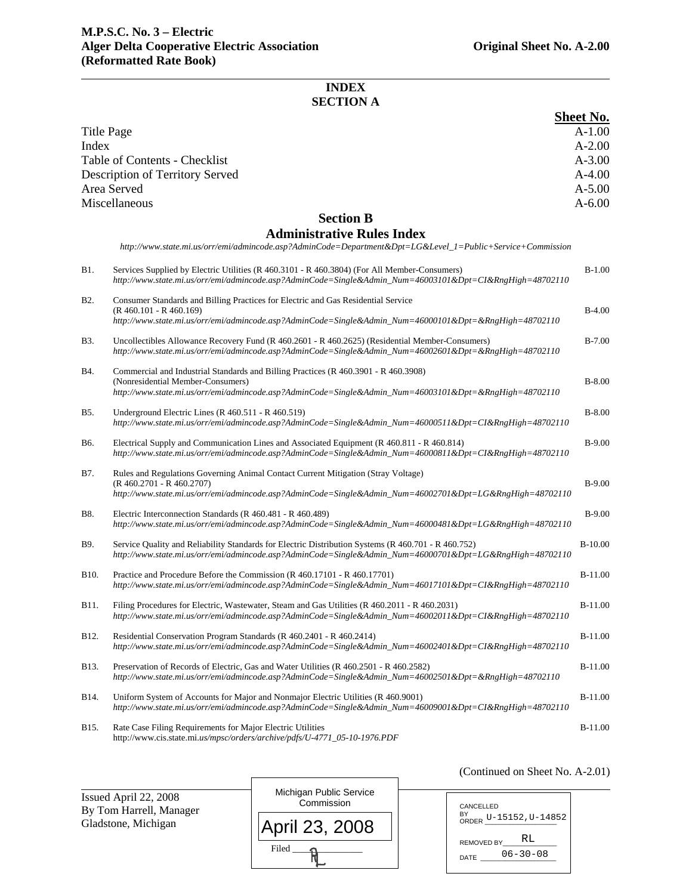(Continued on Sheet No. A-2.01)

# **INDEX SECTION A**

|                   |                                                                                                                                                                                                                 | <b>Sheet No.</b> |
|-------------------|-----------------------------------------------------------------------------------------------------------------------------------------------------------------------------------------------------------------|------------------|
| Title Page        |                                                                                                                                                                                                                 | $A-1.00$         |
| Index             |                                                                                                                                                                                                                 | $A - 2.00$       |
|                   | Table of Contents - Checklist                                                                                                                                                                                   | $A - 3.00$       |
|                   | Description of Territory Served                                                                                                                                                                                 | $A-4.00$         |
|                   | Area Served                                                                                                                                                                                                     | $A - 5.00$       |
|                   | Miscellaneous                                                                                                                                                                                                   | $A - 6.00$       |
|                   | <b>Section B</b>                                                                                                                                                                                                |                  |
|                   | <b>Administrative Rules Index</b><br>http://www.state.mi.us/orr/emi/admincode.asp?AdminCode=Department&Dpt=LG&Level_1=Public+Service+Commission                                                                 |                  |
| <b>B1.</b>        | Services Supplied by Electric Utilities (R 460.3101 - R 460.3804) (For All Member-Consumers)<br>http://www.state.mi.us/orr/emi/admincode.asp?AdminCode=Single&Admin_Num=46003101&Dpt=CI&RngHigh=48702110        | $B-1.00$         |
| B <sub>2</sub> .  | Consumer Standards and Billing Practices for Electric and Gas Residential Service<br>(R 460.101 - R 460.169)                                                                                                    | $B-4.00$         |
|                   | http://www.state.mi.us/orr/emi/admincode.asp?AdminCode=Single&Admin_Num=46000101&Dpt=&RngHigh=48702110                                                                                                          |                  |
| <b>B</b> 3.       | Uncollectibles Allowance Recovery Fund (R 460.2601 - R 460.2625) (Residential Member-Consumers)<br>http://www.state.mi.us/orr/emi/admincode.asp?AdminCode=Single&Admin Num=46002601&Dpt=&RngHigh=48702110       | $B-7.00$         |
| B4.               | Commercial and Industrial Standards and Billing Practices (R 460.3901 - R 460.3908)                                                                                                                             |                  |
|                   | (Nonresidential Member-Consumers)<br>http://www.state.mi.us/orr/emi/admincode.asp?AdminCode=Single&Admin_Num=46003101&Dpt=&RngHigh=48702110                                                                     | $B-8.00$         |
| B5.               | Underground Electric Lines ( $R$ 460.511 - $R$ 460.519)<br>http://www.state.mi.us/orr/emi/admincode.asp?AdminCode=Single&Admin_Num=46000511&Dpt=CI&RngHigh=48702110                                             | $B-8.00$         |
| B6.               | Electrical Supply and Communication Lines and Associated Equipment (R 460.811 - R 460.814)<br>http://www.state.mi.us/orr/emi/admincode.asp?AdminCode=Single&Admin_Num=46000811&Dpt=CI&RngHigh=48702110          | $B-9.00$         |
| B7.               | Rules and Regulations Governing Animal Contact Current Mitigation (Stray Voltage)                                                                                                                               |                  |
|                   | $(R 460.2701 - R 460.2707)$<br>http://www.state.mi.us/orr/emi/admincode.asp?AdminCode=Single&Admin_Num=46002701&Dpt=LG&RngHigh=48702110                                                                         | $B-9.00$         |
| B8.               | Electric Interconnection Standards (R 460.481 - R 460.489)<br>http://www.state.mi.us/orr/emi/admincode.asp?AdminCode=Single&Admin_Num=46000481&Dpt=LG&RngHigh=48702110                                          | $B-9.00$         |
| B9.               | Service Quality and Reliability Standards for Electric Distribution Systems (R 460.701 - R 460.752)<br>http://www.state.mi.us/orr/emi/admincode.asp?AdminCode=Single&Admin_Num=46000701&Dpt=LG&RngHigh=48702110 | $B-10.00$        |
| B <sub>10</sub> . | Practice and Procedure Before the Commission (R 460.17101 - R 460.17701)<br>http://www.state.mi.us/orr/emi/admincode.asp?AdminCode=Single&Admin_Num=46017101&Dpt=CI&RngHigh=48702110                            | $B-11.00$        |
| B11.              | Filing Procedures for Electric, Wastewater, Steam and Gas Utilities (R 460.2011 - R 460.2031)<br>http://www.state.mi.us/orr/emi/admincode.asp?AdminCode=Single&Admin_Num=46002011&Dpt=CI&RngHigh=48702110       | $B-11.00$        |
| B12.              | Residential Conservation Program Standards (R 460.2401 - R 460.2414)<br>http://www.state.mi.us/orr/emi/admincode.asp?AdminCode=Single&Admin Num=46002401&Dpt=CI&RngHigh=48702110                                | $B-11.00$        |
| B13.              | Preservation of Records of Electric, Gas and Water Utilities (R 460.2501 - R 460.2582)<br>http://www.state.mi.us/orr/emi/admincode.asp?AdminCode=Single&Admin_Num=46002501&Dpt=&RngHigh=48702110                | $B-11.00$        |
| B14.              | Uniform System of Accounts for Major and Nonmajor Electric Utilities (R 460.9001)<br>http://www.state.mi.us/orr/emi/admincode.asp?AdminCode=Single&Admin_Num=46009001&Dpt=CI&RngHigh=48702110                   | $B-11.00$        |
| B15.              | Rate Case Filing Requirements for Major Electric Utilities<br>http://www.cis.state.mi.us/mpsc/orders/archive/pdfs/U-4771_05-10-1976.PDF                                                                         | $B-11.00$        |

| Issued April 22, 2008<br>By Tom Harrell, Manager | Michigan Public Service<br>Commission | CANCELLED                                   |
|--------------------------------------------------|---------------------------------------|---------------------------------------------|
| Gladstone, Michigan                              | April 23, 2008                        | BY ORDER $U - 15152$ , $U - 14852$<br>RL    |
|                                                  | Filed                                 | <b>REMOVED BY</b><br>$06 - 30 - 08$<br>DATE |

r

 $\overline{a}$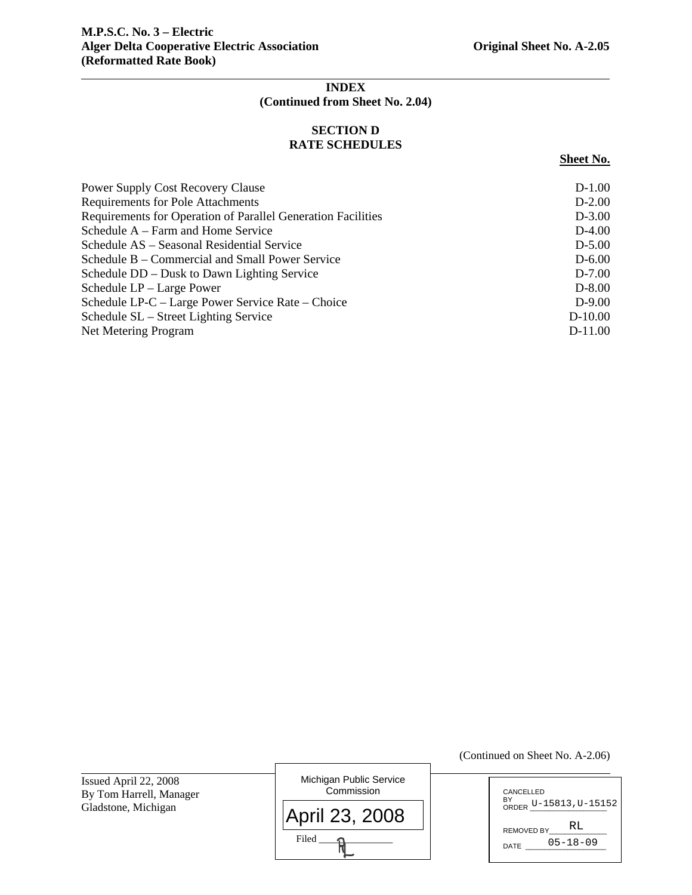# **INDEX (Continued from Sheet No. 2.04)**

# **SECTION D RATE SCHEDULES**

#### **Sheet No.**

| <b>Power Supply Cost Recovery Clause</b>                     | $D-1.00$  |
|--------------------------------------------------------------|-----------|
| <b>Requirements for Pole Attachments</b>                     | $D-2.00$  |
| Requirements for Operation of Parallel Generation Facilities | $D-3.00$  |
| Schedule A – Farm and Home Service                           | $D-4.00$  |
| Schedule AS – Seasonal Residential Service                   | $D-5.00$  |
| Schedule B – Commercial and Small Power Service              | $D-6.00$  |
| Schedule DD – Dusk to Dawn Lighting Service                  | $D-7.00$  |
| Schedule LP – Large Power                                    | $D-8.00$  |
| Schedule LP-C – Large Power Service Rate – Choice            | $D-9.00$  |
| Schedule SL – Street Lighting Service                        | $D-10.00$ |
| <b>Net Metering Program</b>                                  | $D-11.00$ |
|                                                              |           |

Issued April 22, 2008 By Tom Harrell, Manager Gladstone, Michigan

Michigan Public Service **Commission**  $Filed$   $\longrightarrow$ April 23, 2008

CANCELLED BY<br>ORDER U-15813,U-15152 REMOVED BY\_ DATE 05-18-09 RL

(Continued on Sheet No. A-2.06)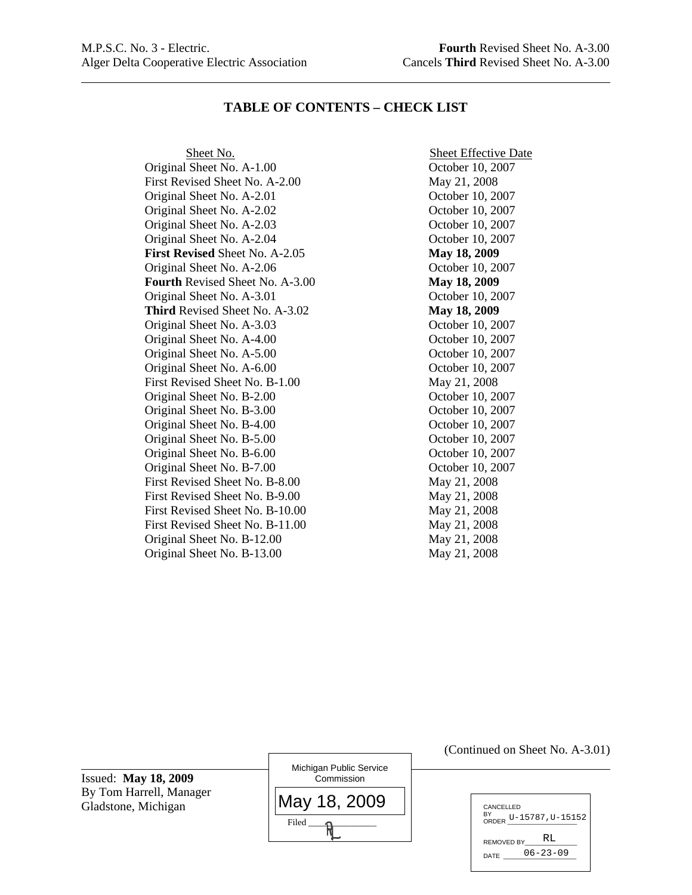l

# **TABLE OF CONTENTS – CHECK LIST**

Original Sheet No. A-1.00 October 10, 2007 First Revised Sheet No. A-2.00 May 21, 2008 Original Sheet No. A-2.01 October 10, 2007 Original Sheet No. A-2.02 October 10, 2007 Original Sheet No. A-2.03 October 10, 2007 Original Sheet No. A-2.04 October 10, 2007 **First Revised** Sheet No. A-2.05 **May 18, 2009**  Original Sheet No. A-2.06 October 10, 2007 **Fourth** Revised Sheet No. A-3.00 **May 18, 2009** Original Sheet No. A-3.01 October 10, 2007 **Third** Revised Sheet No. A-3.02 **May 18, 2009**  Original Sheet No. A-3.03 October 10, 2007 Original Sheet No. A-4.00 October 10, 2007 Original Sheet No. A-5.00 October 10, 2007 Original Sheet No. A-6.00 October 10, 2007 First Revised Sheet No. B-1.00 May 21, 2008 Original Sheet No. B-2.00 October 10, 2007 Original Sheet No. B-3.00 October 10, 2007 Original Sheet No. B-4.00 October 10, 2007 Original Sheet No. B-5.00 October 10, 2007 Original Sheet No. B-6.00 October 10, 2007 Original Sheet No. B-7.00 October 10, 2007 First Revised Sheet No. B-8.00 May 21, 2008 First Revised Sheet No. B-9.00 May 21, 2008 First Revised Sheet No. B-10.00 May 21, 2008 First Revised Sheet No. B-11.00 May 21, 2008 Original Sheet No. B-12.00 May 21, 2008 Original Sheet No. B-13.00 May 21, 2008

Sheet No. Sheet Effective Date

Issued: **May 18, 2009** By Tom Harrell, Manager Gladstone, Michigan

l

| Michigan Public Service<br>Commission |
|---------------------------------------|
| May 18, 2009                          |
| Filed                                 |

(Continued on Sheet No. A-3.01)

| CANCELLED<br>BY<br>ORDER U-15787, U-15152 |  |
|-------------------------------------------|--|
| RT.<br><b>REMOVED BY</b>                  |  |
| $06 - 23 - 09$<br>DATE                    |  |
|                                           |  |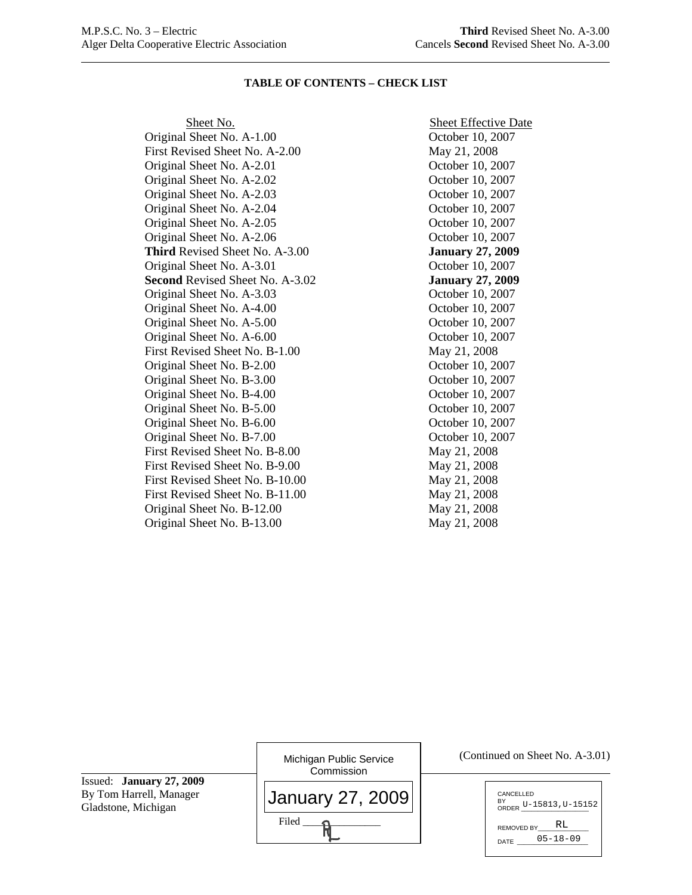#### **TABLE OF CONTENTS – CHECK LIST**

Original Sheet No. A-1.00 October 10, 2007 First Revised Sheet No. A-2.00 May 21, 2008 Original Sheet No. A-2.01 October 10, 2007 Original Sheet No. A-2.02 October 10, 2007 Original Sheet No. A-2.03 October 10, 2007 Original Sheet No. A-2.04 October 10, 2007 Original Sheet No. A-2.05 October 10, 2007 Original Sheet No. A-2.06 October 10, 2007 **Third** Revised Sheet No. A-3.00 **January 27, 2009**  Original Sheet No. A-3.01 October 10, 2007 **Second** Revised Sheet No. A-3.02 **January 27, 2009**  Original Sheet No. A-3.03 October 10, 2007 Original Sheet No. A-4.00 October 10, 2007 Original Sheet No. A-5.00 October 10, 2007 Original Sheet No. A-6.00 October 10, 2007 First Revised Sheet No. B-1.00 May 21, 2008 Original Sheet No. B-2.00 October 10, 2007 Original Sheet No. B-3.00 October 10, 2007 Original Sheet No. B-4.00 October 10, 2007 Original Sheet No. B-5.00 October 10, 2007 Original Sheet No. B-6.00 October 10, 2007 Original Sheet No. B-7.00 October 10, 2007 First Revised Sheet No. B-8.00 May 21, 2008 First Revised Sheet No. B-9.00 May 21, 2008 First Revised Sheet No. B-10.00 May 21, 2008 First Revised Sheet No. B-11.00 May 21, 2008 Original Sheet No. B-12.00 May 21, 2008 Original Sheet No. B-13.00 May 21, 2008

Sheet No. Sheet Effective Date

| Michigan Public Service<br>Commission | (Continued on Sheet No. A-3.01)                                                         |
|---------------------------------------|-----------------------------------------------------------------------------------------|
| January 27, 2009<br>Filed             | CANCELLED<br>BY<br>ORDER U-15813, U-15152<br>RL<br>REMOVED BY<br>$05 - 18 - 09$<br>DATE |
|                                       |                                                                                         |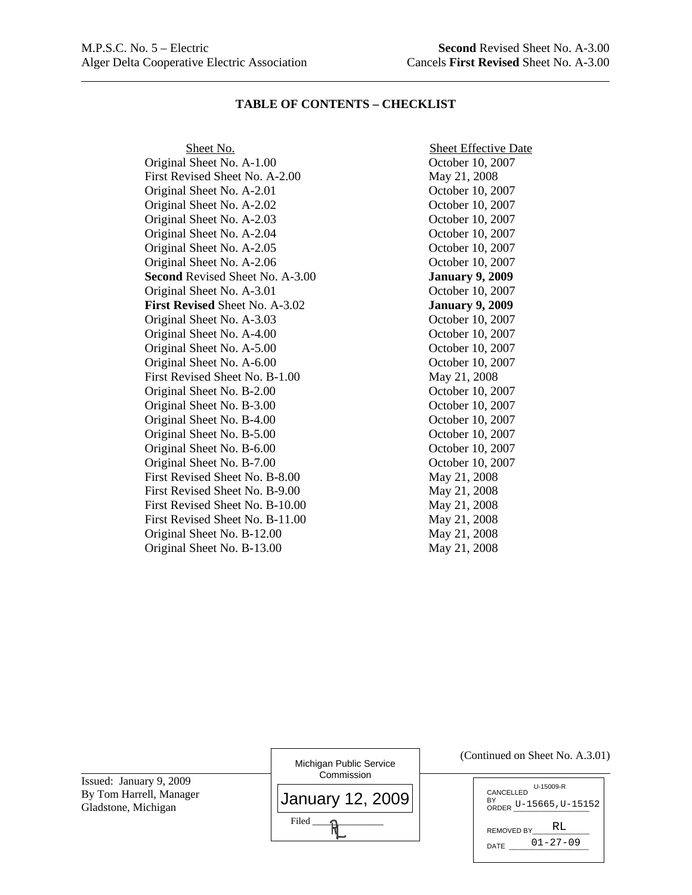### **TABLE OF CONTENTS – CHECKLIST**

Original Sheet No. A-1.00 October 10, 2007 First Revised Sheet No. A-2.00 May 21, 2008 Original Sheet No. A-2.01 October 10, 2007 Original Sheet No. A-2.02 October 10, 2007 Original Sheet No. A-2.03 October 10, 2007 Original Sheet No. A-2.04 October 10, 2007 Original Sheet No. A-2.05 October 10, 2007 Original Sheet No. A-2.06 October 10, 2007 **Second** Revised Sheet No. A-3.00 **January 9, 2009**  Original Sheet No. A-3.01 October 10, 2007 **First Revised** Sheet No. A-3.02 **January 9, 2009**  Original Sheet No. A-3.03 October 10, 2007 Original Sheet No. A-4.00 October 10, 2007 Original Sheet No. A-5.00 October 10, 2007 Original Sheet No. A-6.00 October 10, 2007 First Revised Sheet No. B-1.00 May 21, 2008 Original Sheet No. B-2.00 October 10, 2007 Original Sheet No. B-3.00 October 10, 2007 Original Sheet No. B-4.00 October 10, 2007 Original Sheet No. B-5.00 October 10, 2007 Original Sheet No. B-6.00 October 10, 2007 Original Sheet No. B-7.00 October 10, 2007 First Revised Sheet No. B-8.00 May 21, 2008 First Revised Sheet No. B-9.00 May 21, 2008 First Revised Sheet No. B-10.00 May 21, 2008 First Revised Sheet No. B-11.00 May 21, 2008 Original Sheet No. B-12.00 May 21, 2008 Original Sheet No. B-13.00 May 21, 2008

Sheet No. Sheet Effective Date

Issued: January 9, 2009 By Tom Harrell, Manager Gladstone, Michigan

l

| Michigan Public Service<br>Commission |
|---------------------------------------|
| January 12, 2009                      |
| Filed                                 |

#### (Continued on Sheet No. A.3.01)

| U-15009-R<br>CANCELLED       |
|------------------------------|
| BY<br>ORDER U-15665, U-15152 |
| RT.<br>REMOVED BY            |
| $01 - 27 - 09$<br>DATE       |
|                              |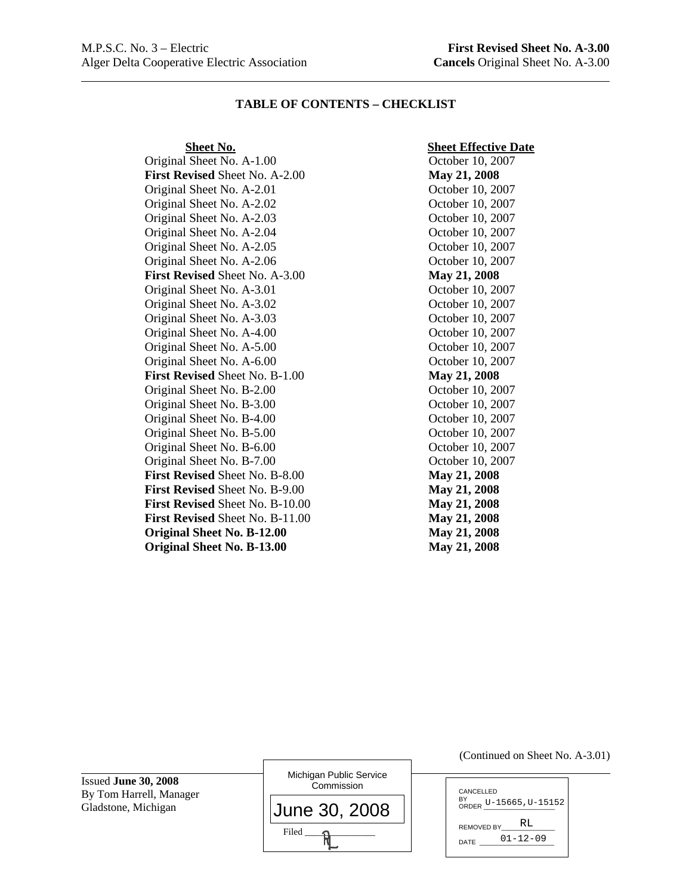### **TABLE OF CONTENTS – CHECKLIST**

**First Revised** Sheet No. A-2.00 **May 21, 2008**  Original Sheet No. A-2.01 October 10, 2007 Original Sheet No. A-2.02 October 10, 2007 Original Sheet No. A-2.03 October 10, 2007 Original Sheet No. A-2.04 October 10, 2007 Original Sheet No. A-2.05 October 10, 2007 Original Sheet No. A-2.06 October 10, 2007 **First Revised** Sheet No. A-3.00 **May 21, 2008**  Original Sheet No. A-3.01 October 10, 2007 Original Sheet No. A-3.02 October 10, 2007 Original Sheet No. A-3.03 October 10, 2007 Original Sheet No. A-4.00 October 10, 2007 Original Sheet No. A-5.00 October 10, 2007 Original Sheet No. A-6.00 October 10, 2007 **First Revised** Sheet No. B-1.00 **May 21, 2008**  Original Sheet No. B-2.00 October 10, 2007 Original Sheet No. B-3.00 October 10, 2007 Original Sheet No. B-4.00 October 10, 2007 Original Sheet No. B-5.00 October 10, 2007 Original Sheet No. B-6.00 October 10, 2007 Original Sheet No. B-7.00 October 10, 2007 **First Revised** Sheet No. B-8.00 **May 21, 2008 First Revised** Sheet No. B-9.00 **May 21, 2008 First Revised** Sheet No. B-10.00 **May 21, 2008 First Revised** Sheet No. B-11.00 **May 21, 2008 Original Sheet No. B-12.00 May 21, 2008 Original Sheet No. B-13.00 May 21, 2008** 

#### **Sheet No.** Sheet Effective Date

Original Sheet No. A-1.00 October 10, 2007

Issued **June 30, 2008**  By Tom Harrell, Manager Gladstone, Michigan

Michigan Public Service **Commission**  $Filed$   $\longrightarrow$ June 30, 2008 (Continued on Sheet No. A-3.01)

| CANCELLED<br>$\frac{BY}{ORDER}$ U-15665, U-15152 |  |
|--------------------------------------------------|--|
| RT.<br>REMOVED BY<br>$01 - 12 - 09$<br>DATE      |  |
|                                                  |  |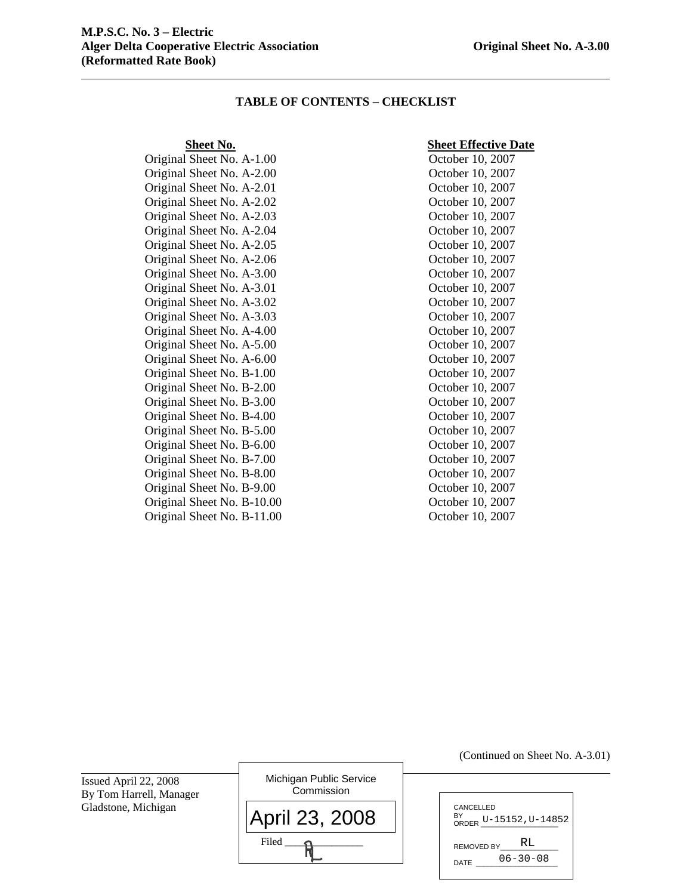### **TABLE OF CONTENTS – CHECKLIST**

Original Sheet No. A-2.00 October 10, 2007 Original Sheet No. A-2.01 October 10, 2007 Original Sheet No. A-2.02 October 10, 2007 Original Sheet No. A-2.03 October 10, 2007 Original Sheet No. A-2.04 October 10, 2007 Original Sheet No. A-2.05 October 10, 2007 Original Sheet No. A-2.06 October 10, 2007 Original Sheet No. A-3.00 October 10, 2007 Original Sheet No. A-3.01 October 10, 2007 Original Sheet No. A-3.02 October 10, 2007 Original Sheet No. A-3.03 October 10, 2007 Original Sheet No. A-4.00 October 10, 2007 Original Sheet No. A-5.00 October 10, 2007 Original Sheet No. A-6.00 October 10, 2007 Original Sheet No. B-1.00 October 10, 2007 Original Sheet No. B-2.00 October 10, 2007 Original Sheet No. B-3.00 October 10, 2007 Original Sheet No. B-4.00 October 10, 2007 Original Sheet No. B-5.00 October 10, 2007 Original Sheet No. B-6.00 October 10, 2007 Original Sheet No. B-7.00 October 10, 2007 Original Sheet No. B-8.00 October 10, 2007 Original Sheet No. B-9.00 October 10, 2007 Original Sheet No. B-10.00 October 10, 2007 Original Sheet No. B-11.00 October 10, 2007

#### **Sheet No.** Sheet Effective Date

Original Sheet No. A-1.00 October 10, 2007

Issued April 22, 2008 By Tom Harrell, Manager Gladstone, Michigan

| Michigan Public Service<br>Commission |
|---------------------------------------|
| April 23, 2008                        |
| Filed                                 |

| CANCELLED                    |
|------------------------------|
| BY<br>ORDER U-15152, U-14852 |
|                              |
| RT.<br>REMOVED BY            |
|                              |
| 06-30-08<br>DATE             |
|                              |

(Continued on Sheet No. A-3.01)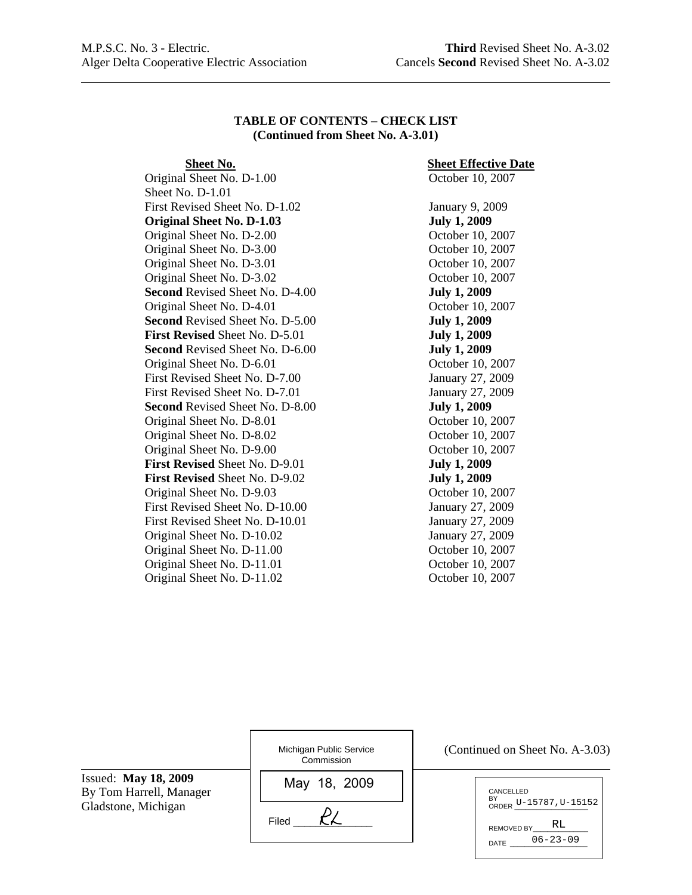$\overline{a}$ 

## **TABLE OF CONTENTS – CHECK LIST (Continued from Sheet No. A-3.01)**

Original Sheet No. D-1.00 October 10, 2007 Sheet No. D-1.01 First Revised Sheet No. D-1.02 January 9, 2009 **Original Sheet No. D-1.03 July 1, 2009**  Original Sheet No. D-2.00 October 10, 2007 Original Sheet No. D-3.00 October 10, 2007 Original Sheet No. D-3.01 October 10, 2007 Original Sheet No. D-3.02 October 10, 2007 **Second** Revised Sheet No. D-4.00 **July 1, 2009**  Original Sheet No. D-4.01 October 10, 2007 **Second** Revised Sheet No. D-5.00 **July 1, 2009 First Revised** Sheet No. D-5.01 **July 1, 2009 Second** Revised Sheet No. D-6.00 **July 1, 2009** Original Sheet No. D-6.01 October 10, 2007 First Revised Sheet No. D-7.00 January 27, 2009 First Revised Sheet No. D-7.01 January 27, 2009 **Second** Revised Sheet No. D-8.00 **July 1, 2009** Original Sheet No. D-8.01 October 10, 2007 Original Sheet No. D-8.02 October 10, 2007 Original Sheet No. D-9.00 October 10, 2007 **First Revised** Sheet No. D-9.01 **July 1, 2009 First Revised** Sheet No. D-9.02 **July 1, 2009** Original Sheet No. D-9.03 October 10, 2007 First Revised Sheet No. D-10.00 January 27, 2009 First Revised Sheet No. D-10.01 January 27, 2009 Original Sheet No. D-10.02 January 27, 2009 Original Sheet No. D-11.00 October 10, 2007 Original Sheet No. D-11.01 October 10, 2007 Original Sheet No. D-11.02 October 10, 2007

# **Sheet No.** Sheet Effective Date

|                                                        | Michigan Public Service<br>Commission | (Continued on Sheet No. A-3.03)                                                       |
|--------------------------------------------------------|---------------------------------------|---------------------------------------------------------------------------------------|
| <b>Issued:</b> May 18, 2009<br>By Tom Harrell, Manager | May 18, 2009                          | CANCELLED                                                                             |
| Gladstone, Michigan                                    | Filed                                 | $O$ RDER U-15787, U-15152<br>RL<br><b>REMOVED BY</b><br>$06 - 23 - 09$<br><b>DATE</b> |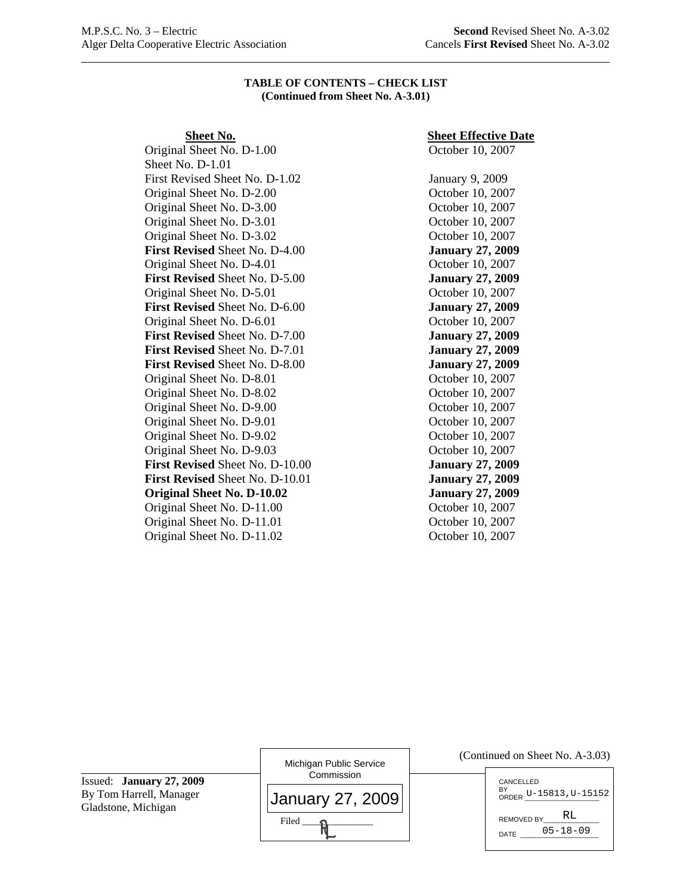#### **TABLE OF CONTENTS – CHECK LIST (Continued from Sheet No. A-3.01)**

Original Sheet No. D-1.00 October 10, 2007 Sheet No. D-1.01 First Revised Sheet No. D-1.02 January 9, 2009 Original Sheet No. D-2.00 October 10, 2007 Original Sheet No. D-3.00 October 10, 2007 Original Sheet No. D-3.01 October 10, 2007 Original Sheet No. D-3.02 October 10, 2007 **First Revised** Sheet No. D-4.00 **January 27, 2009**  Original Sheet No. D-4.01 October 10, 2007 **First Revised** Sheet No. D-5.00 **January 27, 2009** Original Sheet No. D-5.01 October 10, 2007 **First Revised** Sheet No. D-6.00 **January 27, 2009** Original Sheet No. D-6.01 October 10, 2007 **First Revised** Sheet No. D-7.00 **January 27, 2009 First Revised** Sheet No. D-7.01 **January 27, 2009 First Revised** Sheet No. D-8.00 **January 27, 2009** Original Sheet No. D-8.01 October 10, 2007 Original Sheet No. D-8.02 October 10, 2007 Original Sheet No. D-9.00 October 10, 2007 Original Sheet No. D-9.01 October 10, 2007 Original Sheet No. D-9.02 October 10, 2007 Original Sheet No. D-9.03 October 10, 2007 **First Revised** Sheet No. D-10.00 **January 27, 2009 First Revised** Sheet No. D-10.01 **January 27, 2009 Original Sheet No. D-10.02 January 27, 2009** Original Sheet No. D-11.00 October 10, 2007 Original Sheet No. D-11.01 October 10, 2007 Original Sheet No. D-11.02 October 10, 2007

# **Sheet No.** Sheet Effective Date

Issued: **January 27, 2009** By Tom Harrell, Manager Gladstone, Michigan

 $\overline{a}$ 

| Michigan Public Service<br>Commission |
|---------------------------------------|
| <b>January 27, 2009</b>               |
| Filed                                 |

| CANCELLED<br>BY<br>ORDER U-15813, U-15152 |
|-------------------------------------------|
| RT.<br>REMOVED BY                         |
| $05 - 18 - 09$<br>DATE                    |
|                                           |

(Continued on Sheet No. A-3.03)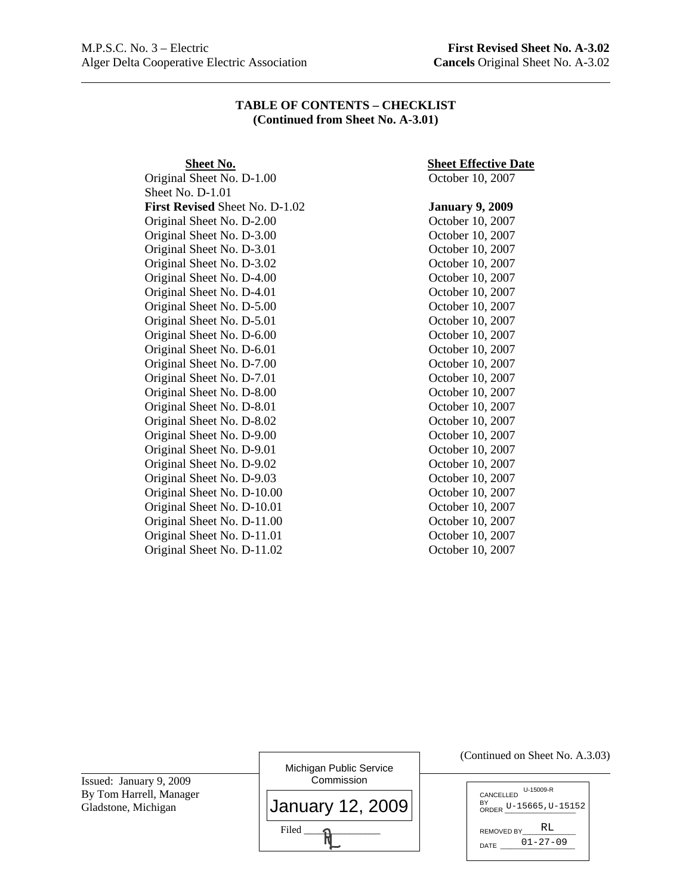l

## **TABLE OF CONTENTS – CHECKLIST (Continued from Sheet No. A-3.01)**

Sheet No. D-1.01 **First Revised** Sheet No. D-1.02 **January 9, 2009**  Original Sheet No. D-2.00 October 10, 2007 Original Sheet No. D-3.00 October 10, 2007 Original Sheet No. D-3.01 October 10, 2007 Original Sheet No. D-3.02 October 10, 2007 Original Sheet No. D-4.00 October 10, 2007 Original Sheet No. D-4.01 October 10, 2007 Original Sheet No. D-5.00 October 10, 2007 Original Sheet No. D-5.01 October 10, 2007 Original Sheet No. D-6.00 October 10, 2007 Original Sheet No. D-6.01 October 10, 2007 Original Sheet No. D-7.00 October 10, 2007 Original Sheet No. D-7.01 October 10, 2007 Original Sheet No. D-8.00 October 10, 2007 Original Sheet No. D-8.01 October 10, 2007 Original Sheet No. D-8.02 October 10, 2007 Original Sheet No. D-9.00 October 10, 2007 Original Sheet No. D-9.01 October 10, 2007 Original Sheet No. D-9.02 October 10, 2007 Original Sheet No. D-9.03 October 10, 2007 Original Sheet No. D-10.00 October 10, 2007 Original Sheet No. D-10.01 October 10, 2007 Original Sheet No. D-11.00 October 10, 2007 Original Sheet No. D-11.01 October 10, 2007 Original Sheet No. D-11.02 October 10, 2007

# **Sheet No.** Sheet Effective Date

Original Sheet No. D-1.00 October 10, 2007

|                                                                           | Michigan Public Service        | (Continued on Sheet No. A.3.03)                        |
|---------------------------------------------------------------------------|--------------------------------|--------------------------------------------------------|
| Issued: January 9, 2009<br>By Tom Harrell, Manager<br>Gladstone, Michigan | Commission<br>January 12, 2009 | U-15009-R<br>CANCELLED<br>BY<br>ORDER U-15665, U-15152 |
|                                                                           | Filed                          | RL<br><b>REMOVED BY</b><br>$01 - 27 - 09$<br>DATE      |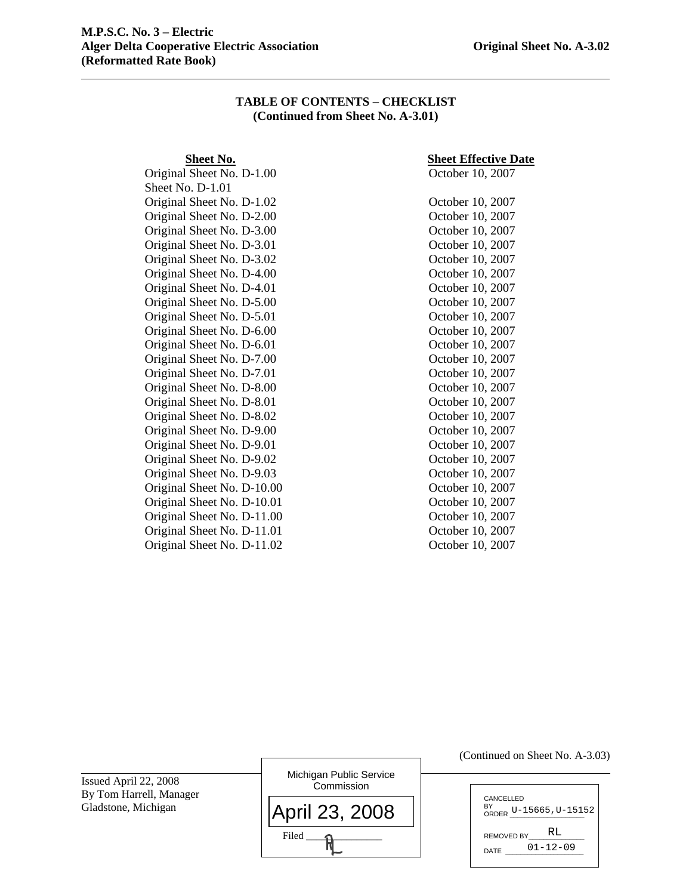## **TABLE OF CONTENTS – CHECKLIST (Continued from Sheet No. A-3.01)**

Original Sheet No. D-1.00 October 10, 2007 Sheet No. D-1.01 Original Sheet No. D-1.02 October 10, 2007 Original Sheet No. D-2.00 October 10, 2007 Original Sheet No. D-3.00 October 10, 2007 Original Sheet No. D-3.01 October 10, 2007 Original Sheet No. D-3.02 October 10, 2007 Original Sheet No. D-4.00 October 10, 2007 Original Sheet No. D-4.01 October 10, 2007 Original Sheet No. D-5.00 October 10, 2007 Original Sheet No. D-5.01 October 10, 2007 Original Sheet No. D-6.00 October 10, 2007 Original Sheet No. D-6.01 October 10, 2007 Original Sheet No. D-7.00 October 10, 2007 Original Sheet No. D-7.01 October 10, 2007 Original Sheet No. D-8.00 October 10, 2007 Original Sheet No. D-8.01 October 10, 2007 Original Sheet No. D-8.02 October 10, 2007 Original Sheet No. D-9.00 October 10, 2007 Original Sheet No. D-9.01 October 10, 2007 Original Sheet No. D-9.02 October 10, 2007 Original Sheet No. D-9.03 October 10, 2007 Original Sheet No. D-10.00 October 10, 2007 Original Sheet No. D-10.01 October 10, 2007 Original Sheet No. D-11.00 October 10, 2007 Original Sheet No. D-11.01 October 10, 2007 Original Sheet No. D-11.02 October 10, 2007

## **Sheet No.** Sheet Effective Date

|                                                  |                                       | (Continued on Sheet No. A-3.03)                          |
|--------------------------------------------------|---------------------------------------|----------------------------------------------------------|
| Issued April 22, 2008<br>By Tom Harrell, Manager | Michigan Public Service<br>Commission |                                                          |
| Gladstone, Michigan                              | April 23, 2008                        | CANCELLED<br>BY<br>ORDER U-15665, U-15152,               |
|                                                  | Filed                                 | RL<br><b>REMOVED BY</b><br>$01 - 12 - 09$<br><b>DATE</b> |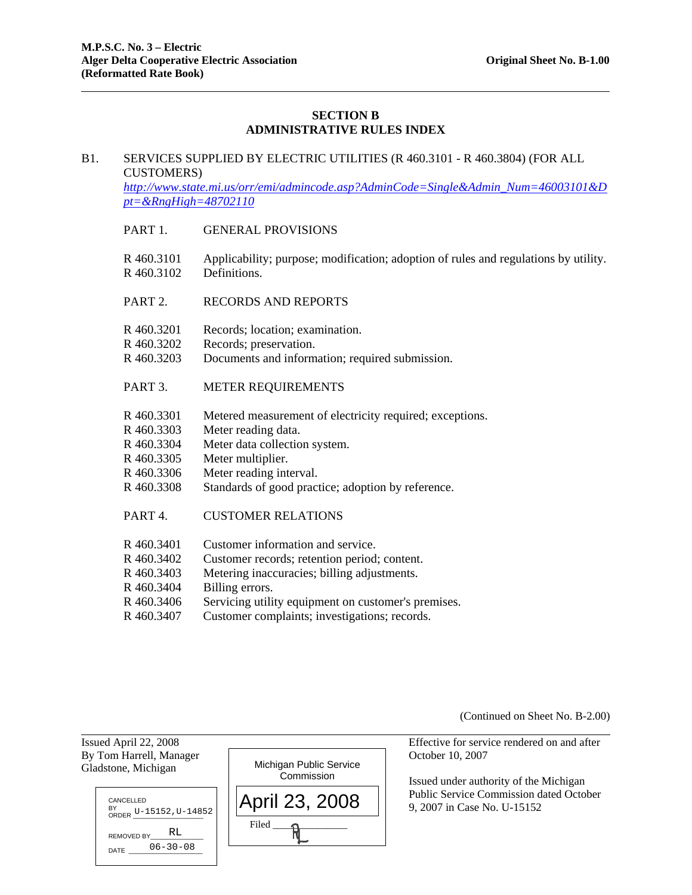# **SECTION B ADMINISTRATIVE RULES INDEX**

### B1. SERVICES SUPPLIED BY ELECTRIC UTILITIES (R 460.3101 - R 460.3804) (FOR ALL CUSTOMERS)

*http://www.state.mi.us/orr/emi/admincode.asp?AdminCode=Single&Admin\_Num=46003101&D pt=&RngHigh=48702110* 

- PART 1. GENERAL PROVISIONS
- R 460.3101 Applicability; purpose; modification; adoption of rules and regulations by utility. R 460.3102 Definitions.
- PART 2. RECORDS AND REPORTS
- R 460.3201 Records; location; examination.
- R 460.3202 Records; preservation.
- R 460.3203 Documents and information; required submission.
- PART 3. METER REQUIREMENTS
- R 460.3301 Metered measurement of electricity required; exceptions.
- R 460.3303 Meter reading data.
- R 460.3304 Meter data collection system.
- R 460.3305 Meter multiplier.
- R 460.3306 Meter reading interval.
- R 460.3308 Standards of good practice; adoption by reference.
- PART 4. CUSTOMER RELATIONS
- R 460.3401 Customer information and service.
- R 460.3402 Customer records; retention period; content.
- R 460.3403 Metering inaccuracies; billing adjustments.
- R 460.3404 Billing errors.
- R 460.3406 Servicing utility equipment on customer's premises.
- R 460.3407 Customer complaints; investigations; records.

(Continued on Sheet No. B-2.00)

Issued April 22, 2008 Effective for service rendered on and after

 Issued under authority of the Michigan Public Service Commission dated October 9, 2007 in Case No. U-15152

CANCELLED BY<br>ORDER U-15152, U-14852 REMOVED BY DATE 06-30-08 RL

Gladstone, Michigan

l

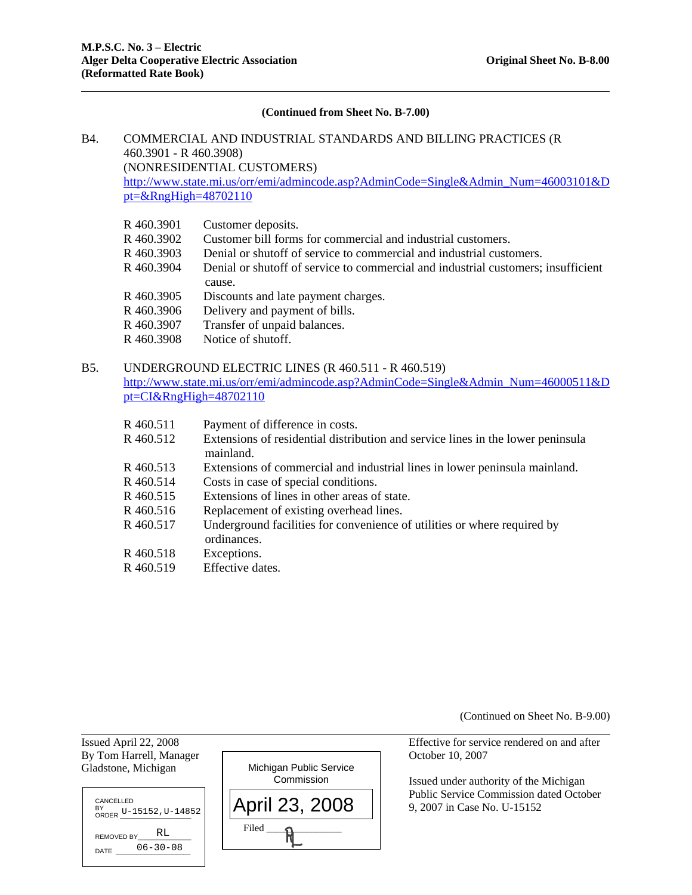#### **(Continued from Sheet No. B-7.00)**

# B4. COMMERCIAL AND INDUSTRIAL STANDARDS AND BILLING PRACTICES (R 460.3901 - R 460.3908) (NONRESIDENTIAL CUSTOMERS)

http://www.state.mi.us/orr/emi/admincode.asp?AdminCode=Single&Admin\_Num=46003101&D pt=&RngHigh=48702110

- R 460.3901 Customer deposits.
- R 460.3902 Customer bill forms for commercial and industrial customers.
- R 460.3903 Denial or shutoff of service to commercial and industrial customers.
- R 460.3904 Denial or shutoff of service to commercial and industrial customers; insufficient cause.
- R 460.3905 Discounts and late payment charges.
- R 460.3906 Delivery and payment of bills.
- R 460.3907 Transfer of unpaid balances.
- R 460.3908 Notice of shutoff.

## B5. UNDERGROUND ELECTRIC LINES (R 460.511 - R 460.519) http://www.state.mi.us/orr/emi/admincode.asp?AdminCode=Single&Admin\_Num=46000511&D pt=CI&RngHigh=48702110

| R 460.511 | Payment of difference in costs.                                                 |
|-----------|---------------------------------------------------------------------------------|
| R 460.512 | Extensions of residential distribution and service lines in the lower peninsula |
|           | mainland.                                                                       |
| R 460.513 | Extensions of commercial and industrial lines in lower peninsula mainland.      |
| R 460.514 | Costs in case of special conditions.                                            |

- R 460.515 Extensions of lines in other areas of state.
- R 460.516 Replacement of existing overhead lines.
- R 460.517 Underground facilities for convenience of utilities or where required by ordinances.
- R 460.518 Exceptions.

 $\overline{a}$ 

R 460.519 Effective dates.

(Continued on Sheet No. B-9.00)

Issued April 22, 2008 Effective for service rendered on and after By Tom Harrell, Manager Corollary Corollary Corollary Corollary Corollary Corollary Corollary Corollary Corollary Corollary Corollary Corollary Corollary Corollary Corollary Corollary Corollary Corollary Corollary Corollar Gladstone, Michigan 9, 2007 in Case No. U-15152 April 23, 2008 Michigan Public Service **Commission**  $Filed$   $\longrightarrow$   $\mathcal{H}$ CANCELLED BY<br>ORDER U-15152, U-14852 REMOVED BY  $\overline{DATE}$ RL 06-30-08

 Issued under authority of the Michigan Public Service Commission dated October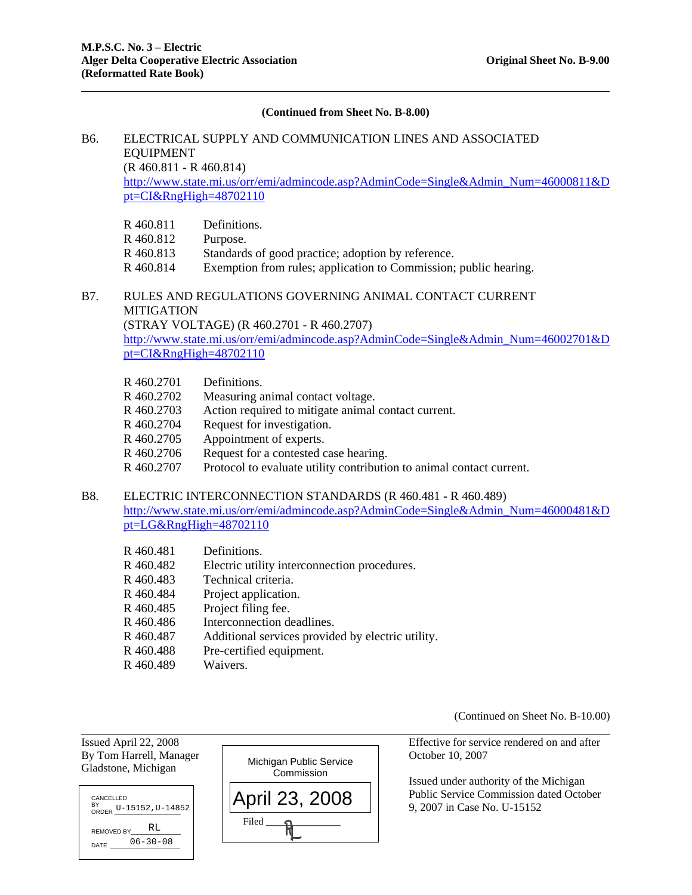#### **(Continued from Sheet No. B-8.00)**

# B6. ELECTRICAL SUPPLY AND COMMUNICATION LINES AND ASSOCIATED EQUIPMENT

(R 460.811 - R 460.814)

http://www.state.mi.us/orr/emi/admincode.asp?AdminCode=Single&Admin\_Num=46000811&D pt=CI&RngHigh=48702110

- R 460.811 Definitions.
- R 460.812 Purpose.
- R 460.813 Standards of good practice; adoption by reference.
- R 460.814 Exemption from rules; application to Commission; public hearing.

# B7. RULES AND REGULATIONS GOVERNING ANIMAL CONTACT CURRENT MITIGATION

(STRAY VOLTAGE) (R 460.2701 - R 460.2707)

http://www.state.mi.us/orr/emi/admincode.asp?AdminCode=Single&Admin\_Num=46002701&D pt=CI&RngHigh=48702110

- R 460.2701 Definitions.
- R 460.2702 Measuring animal contact voltage.
- R 460.2703 Action required to mitigate animal contact current.
- R 460.2704 Request for investigation.
- R 460.2705 Appointment of experts.
- R 460.2706 Request for a contested case hearing.
- R 460.2707 Protocol to evaluate utility contribution to animal contact current.

#### B8. ELECTRIC INTERCONNECTION STANDARDS (R 460.481 - R 460.489)

http://www.state.mi.us/orr/emi/admincode.asp?AdminCode=Single&Admin\_Num=46000481&D pt=LG&RngHigh=48702110

- R 460.481 Definitions.
- R 460.482 Electric utility interconnection procedures.
- R 460.483 Technical criteria.
- R 460.484 Project application.
- R 460.485 Project filing fee.
- R 460.486 Interconnection deadlines.
- R 460.487 Additional services provided by electric utility.
- R 460.488 Pre-certified equipment.
- R 460.489 Waivers.

(Continued on Sheet No. B-10.00)

Gladstone, Michigan



 $\overline{a}$ 



Issued April 22, 2008 Effective for service rendered on and after

 Issued under authority of the Michigan Public Service Commission dated October 9, 2007 in Case No. U-15152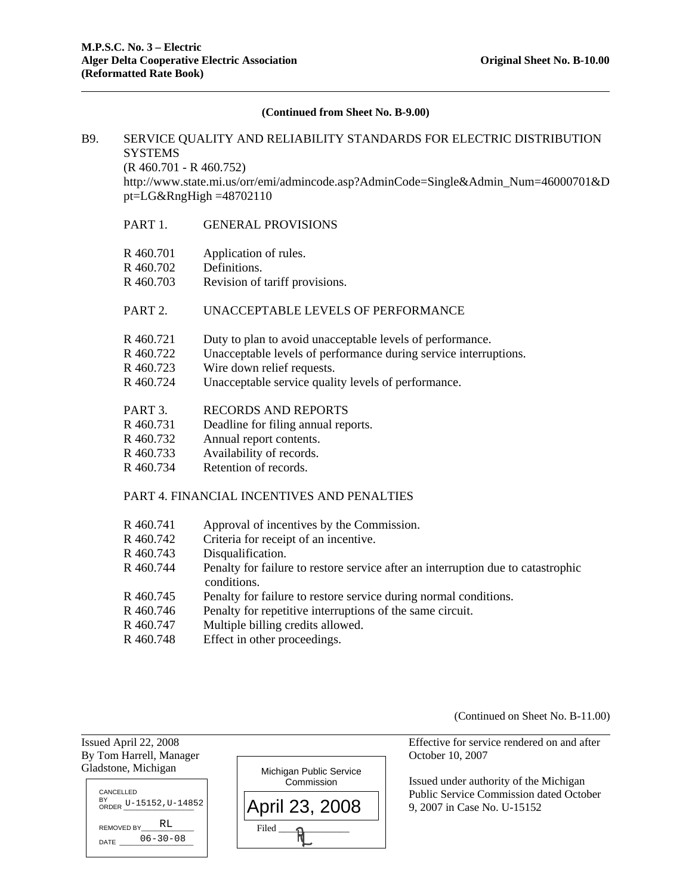#### **(Continued from Sheet No. B-9.00)**

# B9. SERVICE QUALITY AND RELIABILITY STANDARDS FOR ELECTRIC DISTRIBUTION **SYSTEMS**

(R 460.701 - R 460.752)

 http://www.state.mi.us/orr/emi/admincode.asp?AdminCode=Single&Admin\_Num=46000701&D  $pt = LG&RngHigh = 48702110$ 

### PART 1. GENERAL PROVISIONS

- R 460.701 Application of rules.
- R 460.702 Definitions.
- R 460.703 Revision of tariff provisions.

# PART 2. UNACCEPTABLE LEVELS OF PERFORMANCE

- R 460.721 Duty to plan to avoid unacceptable levels of performance.
- R 460.722 Unacceptable levels of performance during service interruptions.
- R 460.723 Wire down relief requests.
- R 460.724 Unacceptable service quality levels of performance.
- PART 3. RECORDS AND REPORTS
- R 460.731 Deadline for filing annual reports.
- R 460.732 Annual report contents.
- R 460.733 Availability of records.
- R 460.734 Retention of records.

### PART 4. FINANCIAL INCENTIVES AND PENALTIES

- R 460.741 Approval of incentives by the Commission.
- R 460.742 Criteria for receipt of an incentive.
- R 460.743 Disqualification.

 $\overline{a}$ 

- R 460.744 Penalty for failure to restore service after an interruption due to catastrophic conditions.
- R 460.745 Penalty for failure to restore service during normal conditions.
- R 460.746 Penalty for repetitive interruptions of the same circuit.
- R 460.747 Multiple billing credits allowed.
- R 460.748 Effect in other proceedings.

(Continued on Sheet No. B-11.00)

Issued April 22, 2008 Effective for service rendered on and after By Tom Harrell, Manager Corolection Corolection Corolection Corolection Corolection Corolection Corolection Corolection Corolection Corolection Corolection Corolection Corolection Corolection Corolection Corolection Corole Gladstone, Michigan Issued under authority of the Michigan Public Service Commission dated October 9, 2007 in Case No. U-15152 Michigan Public Service **Commission** Filed \_\_\_\_\_\_\_\_\_\_\_\_\_\_\_ April 23, 2008 CANCELLED BY<br>ORDER U-15152, U-14852 REMOVED BY DATE 06-30-08 RL.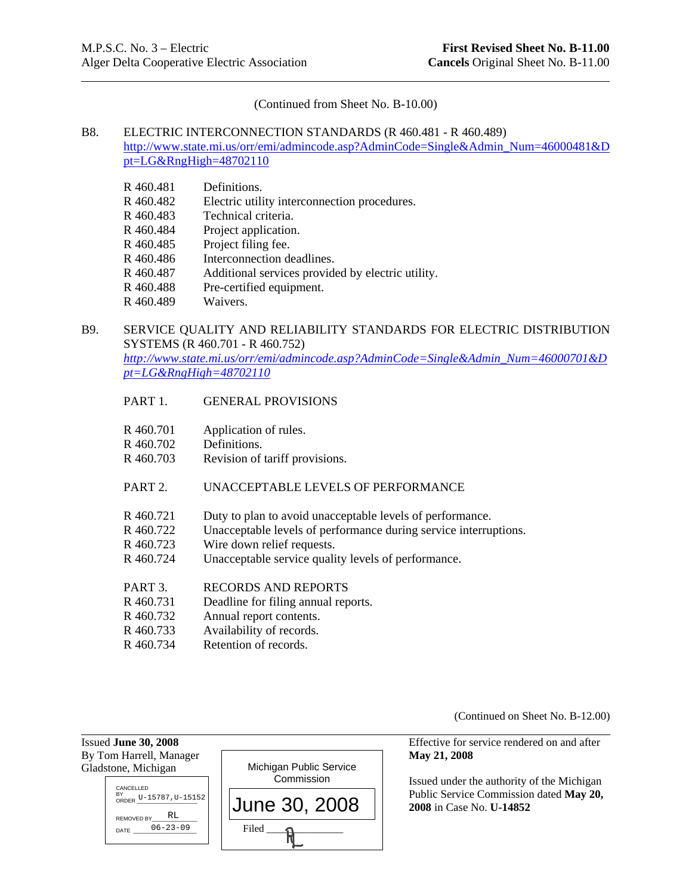(Continued from Sheet No. B-10.00)

# B8. ELECTRIC INTERCONNECTION STANDARDS (R 460.481 - R 460.489)

http://www.state.mi.us/orr/emi/admincode.asp?AdminCode=Single&Admin\_Num=46000481&D pt=LG&RngHigh=48702110

- R 460.481 Definitions.
- R 460.482 Electric utility interconnection procedures.
- R 460.483 Technical criteria.
- R 460.484 Project application.
- R 460.485 Project filing fee.
- R 460.486 Interconnection deadlines.
- R 460.487 Additional services provided by electric utility.
- R 460.488 Pre-certified equipment.
- R 460.489 Waivers.

# B9. SERVICE QUALITY AND RELIABILITY STANDARDS FOR ELECTRIC DISTRIBUTION SYSTEMS (R 460.701 - R 460.752)

*http://www.state.mi.us/orr/emi/admincode.asp?AdminCode=Single&Admin\_Num=46000701&D pt=LG&RngHigh=48702110* 

- PART 1. GENERAL PROVISIONS
- R 460.701 Application of rules.
- R 460.702 Definitions.
- R 460.703 Revision of tariff provisions.

# PART 2. UNACCEPTABLE LEVELS OF PERFORMANCE

- R 460.721 Duty to plan to avoid unacceptable levels of performance.
- R 460.722 Unacceptable levels of performance during service interruptions.
- R 460.723 Wire down relief requests.
- R 460.724 Unacceptable service quality levels of performance.
- PART 3. RECORDS AND REPORTS
- R 460.731 Deadline for filing annual reports.
- R 460.732 Annual report contents.
- R 460.733 Availability of records.
- R 460.734 Retention of records.

(Continued on Sheet No. B-12.00)

By Tom Harrell, Manager **May 21, 2008 May 21, 2008** Gladstone, Michigan Michigan Public Service Commission Filed \_\_\_\_\_\_\_\_\_\_\_\_\_\_\_ June 30, 2008 ANCELLED BY<br>ORDER U-15787, U-15152 REMOVED BY\_\_\_\_\_\_\_\_\_\_\_\_\_\_\_ RL DATE 06-23-09

Issued **June 30, 2008** Effective for service rendered on and after

 Issued under the authority of the Michigan Public Service Commission dated **May 20, 2008** in Case No. **U-14852**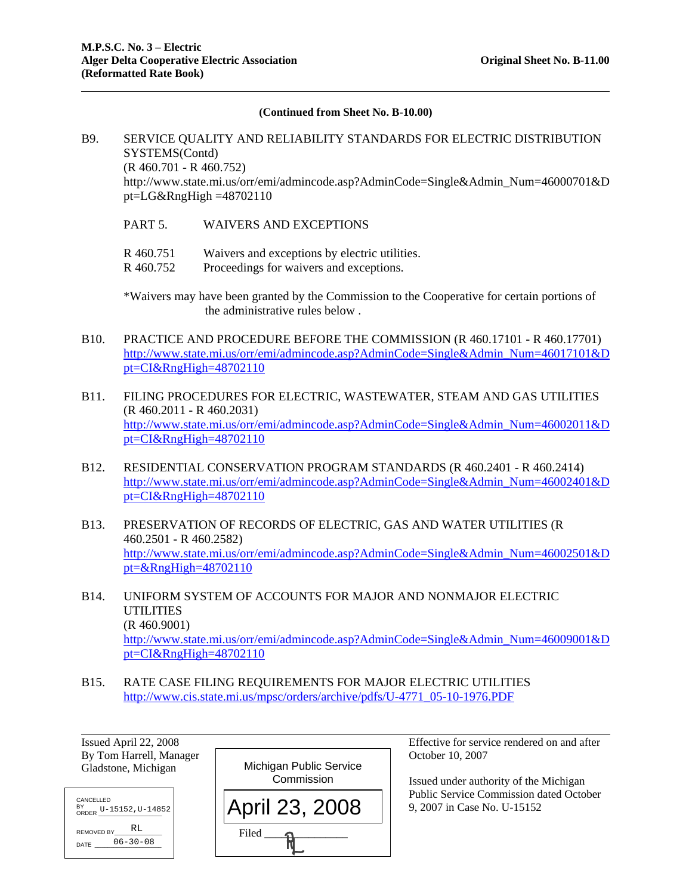#### **(Continued from Sheet No. B-10.00)**

# B9. SERVICE QUALITY AND RELIABILITY STANDARDS FOR ELECTRIC DISTRIBUTION SYSTEMS(Contd) (R 460.701 - R 460.752) http://www.state.mi.us/orr/emi/admincode.asp?AdminCode=Single&Admin\_Num=46000701&D  $pt = LG&RngHigh = 48702110$

- PART 5. WAIVERS AND EXCEPTIONS
- R 460.751 Waivers and exceptions by electric utilities.
- R 460.752 Proceedings for waivers and exceptions.

\*Waivers may have been granted by the Commission to the Cooperative for certain portions of the administrative rules below .

- B10. PRACTICE AND PROCEDURE BEFORE THE COMMISSION (R 460.17101 R 460.17701) http://www.state.mi.us/orr/emi/admincode.asp?AdminCode=Single&Admin\_Num=46017101&D pt=CI&RngHigh=48702110
- B11. FILING PROCEDURES FOR ELECTRIC, WASTEWATER, STEAM AND GAS UTILITIES (R 460.2011 - R 460.2031) http://www.state.mi.us/orr/emi/admincode.asp?AdminCode=Single&Admin\_Num=46002011&D pt=CI&RngHigh=48702110
- B12. RESIDENTIAL CONSERVATION PROGRAM STANDARDS (R 460.2401 R 460.2414) http://www.state.mi.us/orr/emi/admincode.asp?AdminCode=Single&Admin\_Num=46002401&D pt=CI&RngHigh=48702110
- B13. PRESERVATION OF RECORDS OF ELECTRIC, GAS AND WATER UTILITIES (R 460.2501 - R 460.2582) http://www.state.mi.us/orr/emi/admincode.asp?AdminCode=Single&Admin\_Num=46002501&D pt=&RngHigh=48702110
- B14. UNIFORM SYSTEM OF ACCOUNTS FOR MAJOR AND NONMAJOR ELECTRIC UTILITIES (R 460.9001) http://www.state.mi.us/orr/emi/admincode.asp?AdminCode=Single&Admin\_Num=46009001&D pt=CI&RngHigh=48702110
- B15. RATE CASE FILING REQUIREMENTS FOR MAJOR ELECTRIC UTILITIES http://www.cis.state.mi.us/mpsc/orders/archive/pdfs/U-4771\_05-10-1976.PDF

| Issued April 22, 2008   |
|-------------------------|
| By Tom Harrell, Manager |
| Gladstone, Michigan     |

| <b>CANCELLED</b><br>BY<br>or<br>ORDER U-15152, U-14852 |
|--------------------------------------------------------|
| RT.<br>REMOVED BY                                      |
| $06 - 30 - 08$<br>DATE                                 |
|                                                        |



Effective for service rendered on and after October 10, 2007

 Issued under authority of the Michigan Public Service Commission dated October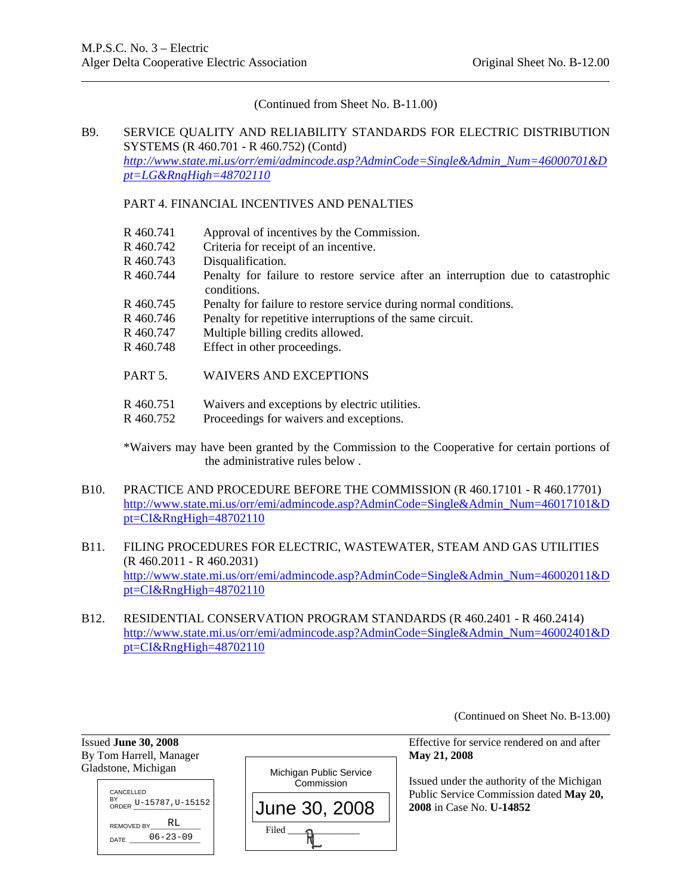(Continued from Sheet No. B-11.00)

# B9. SERVICE QUALITY AND RELIABILITY STANDARDS FOR ELECTRIC DISTRIBUTION SYSTEMS (R 460.701 - R 460.752) (Contd) *http://www.state.mi.us/orr/emi/admincode.asp?AdminCode=Single&Admin\_Num=46000701&D pt=LG&RngHigh=48702110*

## PART 4. FINANCIAL INCENTIVES AND PENALTIES

- R 460.741 Approval of incentives by the Commission.
- R 460.742 Criteria for receipt of an incentive.
- R 460.743 Disqualification.
- R 460.744 Penalty for failure to restore service after an interruption due to catastrophic conditions.
- R 460.745 Penalty for failure to restore service during normal conditions.
- R 460.746 Penalty for repetitive interruptions of the same circuit.
- R 460.747 Multiple billing credits allowed.
- R 460.748 Effect in other proceedings.
- PART 5. WAIVERS AND EXCEPTIONS
- R 460.751 Waivers and exceptions by electric utilities.
- R 460.752 Proceedings for waivers and exceptions.

\*Waivers may have been granted by the Commission to the Cooperative for certain portions of the administrative rules below .

- B10. PRACTICE AND PROCEDURE BEFORE THE COMMISSION (R 460.17101 R 460.17701) http://www.state.mi.us/orr/emi/admincode.asp?AdminCode=Single&Admin\_Num=46017101&D pt=CI&RngHigh=48702110
- B11. FILING PROCEDURES FOR ELECTRIC, WASTEWATER, STEAM AND GAS UTILITIES (R 460.2011 - R 460.2031) http://www.state.mi.us/orr/emi/admincode.asp?AdminCode=Single&Admin\_Num=46002011&D pt=CI&RngHigh=48702110
- B12. RESIDENTIAL CONSERVATION PROGRAM STANDARDS (R 460.2401 R 460.2414) http://www.state.mi.us/orr/emi/admincode.asp?AdminCode=Single&Admin\_Num=46002401&D pt=CI&RngHigh=48702110

(Continued on Sheet No. B-13.00)

| Issued June 30, 2008<br>By Tom Harrell, Manager |                         | Effective for se<br>May 21, 2008          |
|-------------------------------------------------|-------------------------|-------------------------------------------|
| Gladstone, Michigan                             | Michigan Public Service | Issued under the                          |
| CANCELLED                                       | Commission              |                                           |
| BY<br>ORDER U-15787, U-15152                    | June 30, 2008           | <b>Public Service</b><br>$2008$ in Case N |
| REMOVED BY RL<br>DATE $-06-23-09$               | Filed                   |                                           |

Issued **June 30, 2008** Effective for service rendered on and after

d under the authority of the Michigan c Service Commission dated May 20, **2008** in Case No. **U-14852**